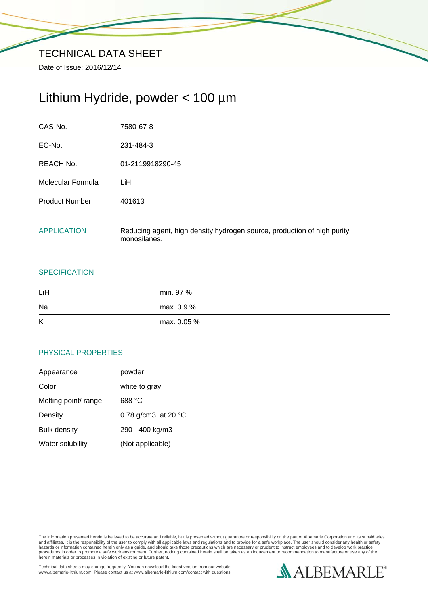Date of Issue: 2016/12/14

# Lithium Hydride, powder < 100 µm

| CAS-No.               | 7580-67-8                                                                               |
|-----------------------|-----------------------------------------------------------------------------------------|
| EC-No.                | 231-484-3                                                                               |
| REACH No.             | 01-2119918290-45                                                                        |
| Molecular Formula     | LiH                                                                                     |
| <b>Product Number</b> | 401613                                                                                  |
| <b>APPLICATION</b>    | Reducing agent, high density hydrogen source, production of high purity<br>monosilanes. |

## **SPECIFICATION**

| LiH | min. 97 %   |
|-----|-------------|
| Na  | max. 0.9 %  |
| K   | max. 0.05 % |

# PHYSICAL PROPERTIES

| Appearance           | powder              |
|----------------------|---------------------|
| Color                | white to gray       |
| Melting point/ range | 688 °C              |
| Density              | 0.78 g/cm3 at 20 °C |
| <b>Bulk density</b>  | 290 - 400 kg/m3     |
| Water solubility     | (Not applicable)    |

The information presented herein is believed to be accurate and reliable, but is presented without guarantee or responsibility on the part of Albemarle Corporation and its subsidiaries<br>and affiliates. It is the responsibil

Technical data sheets may change frequently. You can download the latest version from our website www.albemarle-lithium.com. Please contact us at www.albemarle-lithium.com/contact with questions.

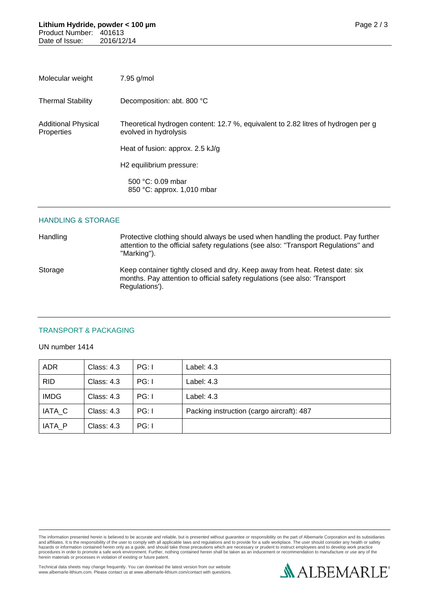| Molecular weight                         | 7.95 g/mol                                                                                                 |
|------------------------------------------|------------------------------------------------------------------------------------------------------------|
| <b>Thermal Stability</b>                 | Decomposition: abt. 800 °C                                                                                 |
| <b>Additional Physical</b><br>Properties | Theoretical hydrogen content: 12.7 %, equivalent to 2.82 litres of hydrogen per g<br>evolved in hydrolysis |
|                                          | Heat of fusion: approx. 2.5 kJ/g                                                                           |
|                                          | H <sub>2</sub> equilibrium pressure:                                                                       |
|                                          | 500 °C: 0.09 mbar<br>850 °C: approx. 1,010 mbar                                                            |

#### HANDLING & STORAGE

Handling Protective clothing should always be used when handling the product. Pay further attention to the official safety regulations (see also: ''Transport Regulations'' and ''Marking''). Storage Keep container tightly closed and dry. Keep away from heat. Retest date: six months. Pay attention to official safety regulations (see also: 'Transport Regulations').

#### TRANSPORT & PACKAGING

#### UN number 1414

| <b>ADR</b>  | <b>Class: 4.3</b> | PG: I | Label: 4.3                                |
|-------------|-------------------|-------|-------------------------------------------|
| <b>RID</b>  | Class: $4.3$      | PG: I | Label: $4.3$                              |
| <b>IMDG</b> | Class: 4.3        | PG: I | Label: 4.3                                |
| IATA_C      | <b>Class: 4.3</b> | PG: I | Packing instruction (cargo aircraft): 487 |
| IATA P      | Class: 4.3        | PG: I |                                           |

The information presented herein is believed to be accurate and reliable, but is presented without guarantee or responsibility on the part of Albemarle Corporation and its subsidiaries<br>and affiliates. It is the responsibil

Technical data sheets may change frequently. You can download the latest version from our website www.albemarle-lithium.com. Please contact us at www.albemarle-lithium.com/contact with questions.